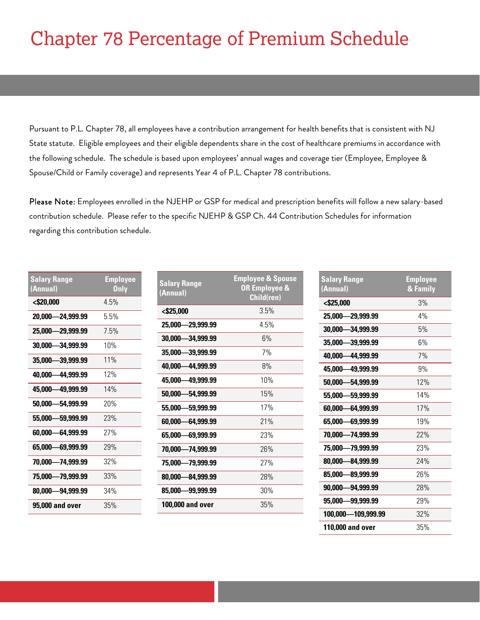# Chapter 78 Percentage of Premium Schedule

Pursuant to P.L. Chapter 78, all employees have a contribution arrangement for health benefits that is consistent with NJ State statute. Eligible employees and their eligible dependents share in the cost of healthcare premiums in accordance with the following schedule. The schedule is based upon employees' annual wages and coverage tier (Employee, Employee & Spouse/Child or Family coverage) and represents Year 4 of P.L. Chapter 78 contributions.

Please Note: Employees enrolled in the NJEHP or GSP for medical and prescription benefits will follow a new salary-based contribution schedule. Please refer to the specific NJEHP & GSP Ch. 44 Contribution Schedules for information regarding this contribution schedule.

| <b>Salary Range</b><br>(Annual) | <b>Employee</b><br><b>Only</b> | <b>Salary Range</b><br>(Annual) | <b>Employee &amp; Spouse</b><br>OR Employee & | <b>Salary Range</b><br>(Annual) | <b>Employee</b><br>& Family |
|---------------------------------|--------------------------------|---------------------------------|-----------------------------------------------|---------------------------------|-----------------------------|
| $<$ \$20,000                    | 4.5%                           |                                 | Child(ren)                                    | $<$ \$25,000                    | 3%                          |
| 20,000-24,999.99                | 5.5%                           | <\$25,000                       | 3.5%                                          | 25,000-29,999.99                | 4%                          |
| 25,000-29,999.99                | 7.5%                           | 25,000-29,999.99                | 4.5%                                          | 30,000-34,999.99                | 5%                          |
| 30,000-34,999.99                | 10%                            | 30,000-34,999.99                | 6%                                            | 35,000-39,999.99                | 6%                          |
| 35,000-39,999.99                | 11%                            | 35,000-39,999.99                | 7%                                            | 40,000-44,999.99                | 7%                          |
|                                 |                                | 40,000 - 44,999.99              | 8%                                            | 45,000-49,999.99                | 9%                          |
| 40,000 - 44,999.99              | 12%                            | 45,000-49,999.99                | 10%                                           | 50,000-54,999.99                | 12%                         |
| 45,000 - 49,999.99              | 14%                            | 50,000-54,999.99                | 15%                                           | 55,000-59,999.99                | 14%                         |
| 50,000-54,999.99                | 20%                            | 55,000-59,999.99                | 17%                                           | 60,000-64,999.99                | 17%                         |
| 55,000-59,999.99                | 23%                            | 60,000-64,999.99                | 21%                                           | 65,000-69,999.99                | 19%                         |
| 60,000-64,999.99                | 27%                            | 65,000-69,999.99                | 23%                                           | 70,000-74,999.99                | 22%                         |
| 65,000-69,999.99                | 29%                            | 70,000-74,999.99                | 26%                                           | 75,000-79,999.99                | 23%                         |
| 70,000-74,999.99                | 32%                            | 75,000-79,999.99                | 27%                                           | 80,000-84,999.99                | 24%                         |
| 75.000-79.999.99                | 33%                            | 80,000-84,999.99                | 28%                                           | 85,000-89,999.99                | 26%                         |
| 80,000-94,999.99                | 34%                            | 85,000-99,999.99                | 30%                                           | 90,000-94,999.99                | 28%                         |
| 95,000 and over                 | 35%                            | 100,000 and over                | 35%                                           | 95,000-99,999.99                | 29%                         |
|                                 |                                |                                 |                                               | 100,000-109,999.99              | 32%                         |

**110,000 and over** 35%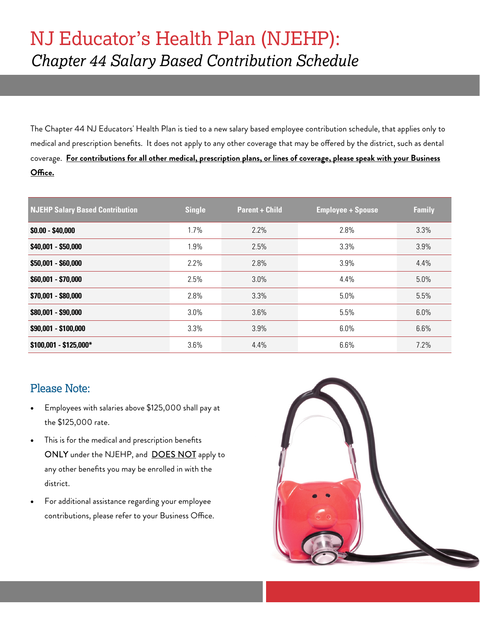### NJ Educator's Health Plan (NJEHP): *Chapter 44 Salary Based Contribution Schedule*

The Chapter 44 NJ Educators' Health Plan is tied to a new salary based employee contribution schedule, that applies only to medical and prescription benefits. It does not apply to any other coverage that may be offered by the district, such as dental coverage. **For contributions for all other medical, prescription plans, or lines of coverage, please speak with your Business Office.**

| <b>NJEHP Salary Based Contribution</b> | <b>Single</b> | <b>Parent + Child</b> | <b>Employee + Spouse</b> | <b>Family</b> |
|----------------------------------------|---------------|-----------------------|--------------------------|---------------|
| $$0.00 - $40,000$                      | 1.7%          | 2.2%                  | 2.8%                     | 3.3%          |
| \$40,001 - \$50,000                    | 1.9%          | 2.5%                  | 3.3%                     | 3.9%          |
| \$50,001 - \$60,000                    | 2.2%          | 2.8%                  | 3.9%                     | 4.4%          |
| \$60,001 - \$70,000                    | 2.5%          | 3.0%                  | 4.4%                     | 5.0%          |
| \$70,001 - \$80,000                    | 2.8%          | 3.3%                  | 5.0%                     | 5.5%          |
| \$80,001 - \$90,000                    | 3.0%          | 3.6%                  | 5.5%                     | 6.0%          |
| \$90,001 - \$100,000                   | 3.3%          | 3.9%                  | 6.0%                     | 6.6%          |
| $$100,001 - $125,000*$                 | 3.6%          | 4.4%                  | 6.6%                     | 7.2%          |

#### Please Note:

- Employees with salaries above \$125,000 shall pay at the \$125,000 rate.
- This is for the medical and prescription benefits ONLY under the NJEHP, and **DOES NOT** apply to any other benefits you may be enrolled in with the district.
- For additional assistance regarding your employee contributions, please refer to your Business Office.